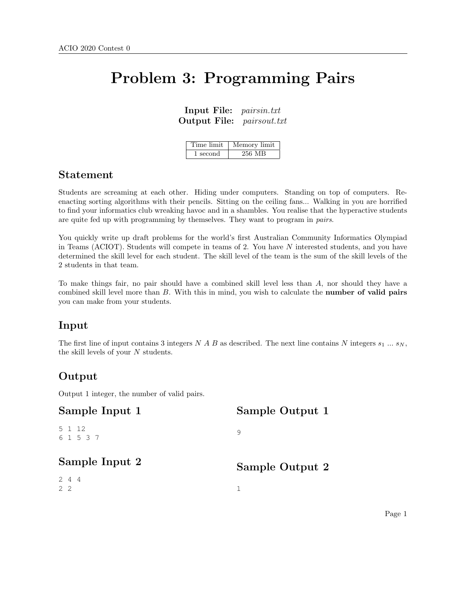# Problem 3: Programming Pairs

Input File: pairsin.txt Output File: pairsout.txt

| Time limit | Memory limit |
|------------|--------------|
| 1 second   | 256 MB       |

## Statement

Students are screaming at each other. Hiding under computers. Standing on top of computers. Reenacting sorting algorithms with their pencils. Sitting on the ceiling fans... Walking in you are horrified to find your informatics club wreaking havoc and in a shambles. You realise that the hyperactive students are quite fed up with programming by themselves. They want to program in pairs.

You quickly write up draft problems for the world's first Australian Community Informatics Olympiad in Teams (ACIOT). Students will compete in teams of 2. You have N interested students, and you have determined the skill level for each student. The skill level of the team is the sum of the skill levels of the 2 students in that team.

To make things fair, no pair should have a combined skill level less than A, nor should they have a combined skill level more than  $B$ . With this in mind, you wish to calculate the **number of valid pairs** you can make from your students.

## Input

The first line of input contains 3 integers N A B as described. The next line contains N integers  $s_1 \dots s_N$ , the skill levels of your  $N$  students.

## Output

Output 1 integer, the number of valid pairs.

| Sample Input 1      | Sample Output 1 |
|---------------------|-----------------|
| 5 1 12<br>6 1 5 3 7 | 9               |
| Sample Input 2      | Sample Output 2 |
| 244<br>$2 \quad 2$  |                 |
|                     |                 |

Page 1